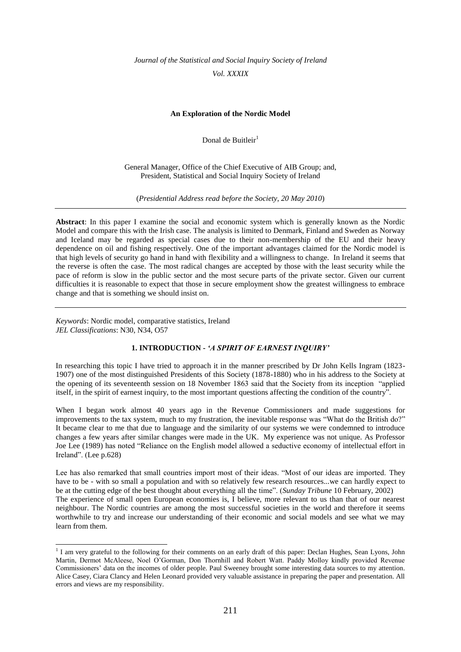*Journal of the Statistical and Social Inquiry Society of Ireland Vol. XXXIX*

### **An Exploration of the Nordic Model**

Donal de Buitleir<sup>1</sup>

General Manager, Office of the Chief Executive of AIB Group; and, President, Statistical and Social Inquiry Society of Ireland

(*Presidential Address read before the Society, 20 May 2010*)

**Abstract**: In this paper I examine the social and economic system which is generally known as the Nordic Model and compare this with the Irish case. The analysis is limited to Denmark, Finland and Sweden as Norway and Iceland may be regarded as special cases due to their non-membership of the EU and their heavy dependence on oil and fishing respectively. One of the important advantages claimed for the Nordic model is that high levels of security go hand in hand with flexibility and a willingness to change. In Ireland it seems that the reverse is often the case. The most radical changes are accepted by those with the least security while the pace of reform is slow in the public sector and the most secure parts of the private sector. Given our current difficulties it is reasonable to expect that those in secure employment show the greatest willingness to embrace change and that is something we should insist on.

*Keywords*: Nordic model, comparative statistics, Ireland *JEL Classifications*: N30, N34, O57

#### **1. INTRODUCTION -** *'A SPIRIT OF EARNEST INQUIRY'*

In researching this topic I have tried to approach it in the manner prescribed by Dr John Kells Ingram (1823- 1907) one of the most distinguished Presidents of this Society (1878-1880) who in his address to the Society at the opening of its seventeenth session on 18 November 1863 said that the Society from its inception "applied itself, in the spirit of earnest inquiry, to the most important questions affecting the condition of the country".

When I began work almost 40 years ago in the Revenue Commissioners and made suggestions for improvements to the tax system, much to my frustration, the inevitable response was "What do the British do?" It became clear to me that due to language and the similarity of our systems we were condemned to introduce changes a few years after similar changes were made in the UK. My experience was not unique. As Professor Joe Lee (1989) has noted "Reliance on the English model allowed a seductive economy of intellectual effort in Ireland". (Lee p.628)

Lee has also remarked that small countries import most of their ideas. "Most of our ideas are imported. They have to be - with so small a population and with so relatively few research resources...we can hardly expect to be at the cutting edge of the best thought about everything all the time". (*Sunday Tribune* 10 February, 2002) The experience of small open European economies is, I believe, more relevant to us than that of our nearest neighbour. The Nordic countries are among the most successful societies in the world and therefore it seems worthwhile to try and increase our understanding of their economic and social models and see what we may learn from them.

 1 I am very grateful to the following for their comments on an early draft of this paper: Declan Hughes, Sean Lyons, John Martin, Dermot McAleese, Noel O"Gorman, Don Thornhill and Robert Watt. Paddy Molloy kindly provided Revenue Commissioners" data on the incomes of older people. Paul Sweeney brought some interesting data sources to my attention. Alice Casey, Ciara Clancy and Helen Leonard provided very valuable assistance in preparing the paper and presentation. All errors and views are my responsibility.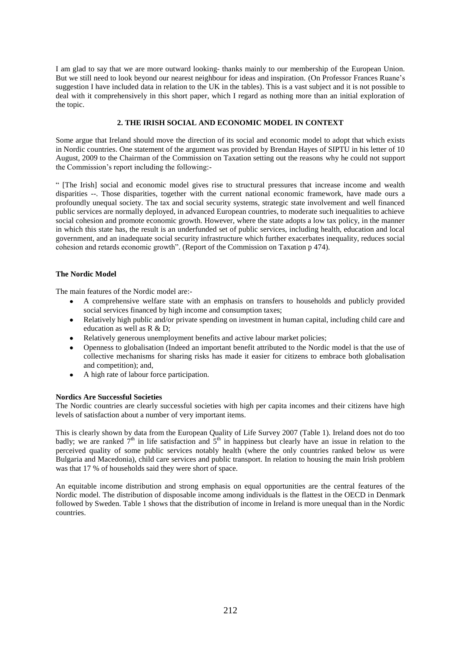I am glad to say that we are more outward looking- thanks mainly to our membership of the European Union. But we still need to look beyond our nearest neighbour for ideas and inspiration. (On Professor Frances Ruane"s suggestion I have included data in relation to the UK in the tables). This is a vast subject and it is not possible to deal with it comprehensively in this short paper, which I regard as nothing more than an initial exploration of the topic.

# **2. THE IRISH SOCIAL AND ECONOMIC MODEL IN CONTEXT**

Some argue that Ireland should move the direction of its social and economic model to adopt that which exists in Nordic countries. One statement of the argument was provided by Brendan Hayes of SIPTU in his letter of 10 August, 2009 to the Chairman of the Commission on Taxation setting out the reasons why he could not support the Commission"s report including the following:-

" [The Irish] social and economic model gives rise to structural pressures that increase income and wealth disparities --. Those disparities, together with the current national economic framework, have made ours a profoundly unequal society. The tax and social security systems, strategic state involvement and well financed public services are normally deployed, in advanced European countries, to moderate such inequalities to achieve social cohesion and promote economic growth. However, where the state adopts a low tax policy, in the manner in which this state has, the result is an underfunded set of public services, including health, education and local government, and an inadequate social security infrastructure which further exacerbates inequality, reduces social cohesion and retards economic growth". (Report of the Commission on Taxation p 474).

### **The Nordic Model**

The main features of the Nordic model are:-

- A comprehensive welfare state with an emphasis on transfers to households and publicly provided social services financed by high income and consumption taxes;
- Relatively high public and/or private spending on investment in human capital, including child care and education as well as R & D;
- Relatively generous unemployment benefits and active labour market policies;  $\blacksquare$
- Openness to globalisation (Indeed an important benefit attributed to the Nordic model is that the use of collective mechanisms for sharing risks has made it easier for citizens to embrace both globalisation and competition); and,
- $\bullet$ A high rate of labour force participation.

### **Nordics Are Successful Societies**

The Nordic countries are clearly successful societies with high per capita incomes and their citizens have high levels of satisfaction about a number of very important items.

This is clearly shown by data from the European Quality of Life Survey 2007 (Table 1). Ireland does not do too badly; we are ranked  $7<sup>th</sup>$  in life satisfaction and  $5<sup>th</sup>$  in happiness but clearly have an issue in relation to the perceived quality of some public services notably health (where the only countries ranked below us were Bulgaria and Macedonia), child care services and public transport. In relation to housing the main Irish problem was that 17 % of households said they were short of space.

An equitable income distribution and strong emphasis on equal opportunities are the central features of the Nordic model. The distribution of disposable income among individuals is the flattest in the OECD in Denmark followed by Sweden. Table 1 shows that the distribution of income in Ireland is more unequal than in the Nordic countries.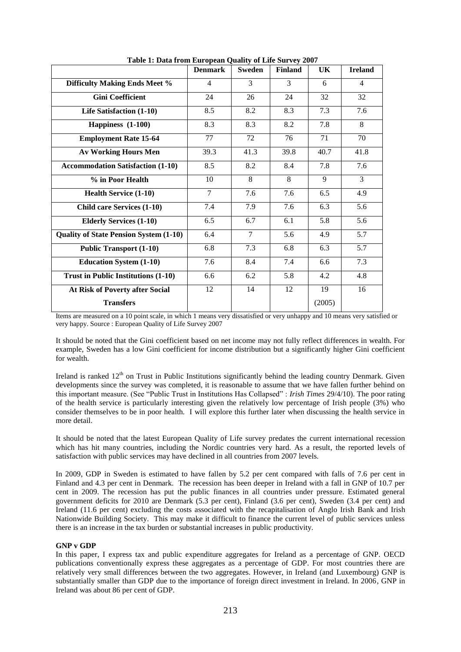|                                               | <b>Denmark</b> | <b>Sweden</b> | <b>Finland</b> | UK     | <b>Ireland</b> |
|-----------------------------------------------|----------------|---------------|----------------|--------|----------------|
| <b>Difficulty Making Ends Meet %</b>          | $\overline{4}$ | 3             | 3              | 6      | $\overline{4}$ |
| <b>Gini Coefficient</b>                       | 24             | 26            | 24             | 32     | 32             |
| Life Satisfaction (1-10)                      | 8.5            | 8.2           | 8.3            | 7.3    | 7.6            |
| Happiness (1-100)                             | 8.3            | 8.3           | 8.2            | 7.8    | 8              |
| <b>Employment Rate 15-64</b>                  | 77             | 72            | 76             | 71     | 70             |
| <b>Av Working Hours Men</b>                   | 39.3           | 41.3          | 39.8           | 40.7   | 41.8           |
| <b>Accommodation Satisfaction (1-10)</b>      | 8.5            | 8.2           | 8.4            | 7.8    | 7.6            |
| % in Poor Health                              | 10             | 8             | 8              | 9      | 3              |
| <b>Health Service (1-10)</b>                  | $\overline{7}$ | 7.6           | 7.6            | 6.5    | 4.9            |
| <b>Child care Services (1-10)</b>             | 7.4            | 7.9           | 7.6            | 6.3    | 5.6            |
| <b>Elderly Services (1-10)</b>                | 6.5            | 6.7           | 6.1            | 5.8    | 5.6            |
| <b>Quality of State Pension System (1-10)</b> | 6.4            | $\tau$        | 5.6            | 4.9    | 5.7            |
| <b>Public Transport (1-10)</b>                | 6.8            | 7.3           | 6.8            | 6.3    | 5.7            |
| <b>Education System (1-10)</b>                | 7.6            | 8.4           | 7.4            | 6.6    | 7.3            |
| <b>Trust in Public Institutions (1-10)</b>    | 6.6            | 6.2           | 5.8            | 4.2    | 4.8            |
| At Risk of Poverty after Social               | 12             | 14            | 12             | 19     | 16             |
| <b>Transfers</b>                              |                |               |                | (2005) |                |

 **Table 1: Data from European Quality of Life Survey 2007**

Items are measured on a 10 point scale, in which 1 means very dissatisfied or very unhappy and 10 means very satisfied or very happy. Source : European Quality of Life Survey 2007

It should be noted that the Gini coefficient based on net income may not fully reflect differences in wealth. For example, Sweden has a low Gini coefficient for income distribution but a significantly higher Gini coefficient for wealth.

Ireland is ranked  $12<sup>th</sup>$  on Trust in Public Institutions significantly behind the leading country Denmark. Given developments since the survey was completed, it is reasonable to assume that we have fallen further behind on this important measure. (See "Public Trust in Institutions Has Collapsed" : *Irish Times* 29/4/10). The poor rating of the health service is particularly interesting given the relatively low percentage of Irish people (3%) who consider themselves to be in poor health. I will explore this further later when discussing the health service in more detail.

It should be noted that the latest European Quality of Life survey predates the current international recession which has hit many countries, including the Nordic countries very hard. As a result, the reported levels of satisfaction with public services may have declined in all countries from 2007 levels.

In 2009, GDP in Sweden is estimated to have fallen by 5.2 per cent compared with falls of 7.6 per cent in Finland and 4.3 per cent in Denmark. The recession has been deeper in Ireland with a fall in GNP of 10.7 per cent in 2009. The recession has put the public finances in all countries under pressure. Estimated general government deficits for 2010 are Denmark (5.3 per cent), Finland (3.6 per cent), Sweden (3.4 per cent) and Ireland (11.6 per cent) excluding the costs associated with the recapitalisation of Anglo Irish Bank and Irish Nationwide Building Society. This may make it difficult to finance the current level of public services unless there is an increase in the tax burden or substantial increases in public productivity.

#### **GNP v GDP**

In this paper, I express tax and public expenditure aggregates for Ireland as a percentage of GNP. OECD publications conventionally express these aggregates as a percentage of GDP. For most countries there are relatively very small differences between the two aggregates. However, in Ireland (and Luxembourg) GNP is substantially smaller than GDP due to the importance of foreign direct investment in Ireland. In 2006, GNP in Ireland was about 86 per cent of GDP.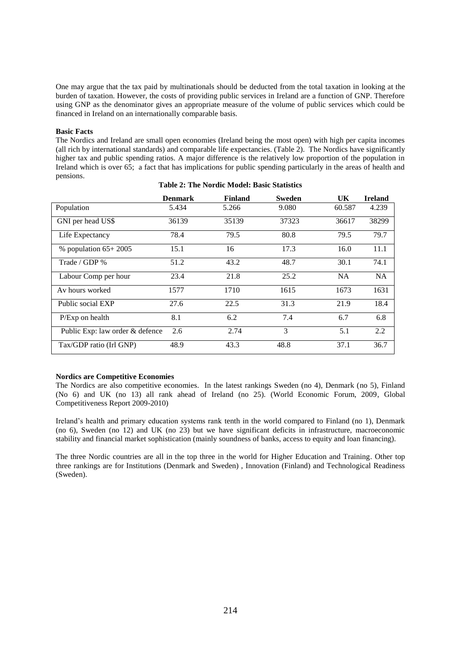One may argue that the tax paid by multinationals should be deducted from the total taxation in looking at the burden of taxation. However, the costs of providing public services in Ireland are a function of GNP. Therefore using GNP as the denominator gives an appropriate measure of the volume of public services which could be financed in Ireland on an internationally comparable basis.

#### **Basic Facts**

The Nordics and Ireland are small open economies (Ireland being the most open) with high per capita incomes (all rich by international standards) and comparable life expectancies. (Table 2). The Nordics have significantly higher tax and public spending ratios. A major difference is the relatively low proportion of the population in Ireland which is over 65; a fact that has implications for public spending particularly in the areas of health and pensions.

|                                 | <b>Denmark</b> | <b>Finland</b> | Sweden | UK        | <b>Ireland</b> |
|---------------------------------|----------------|----------------|--------|-----------|----------------|
| Population                      | 5.434          | 5.266          | 9.080  | 60.587    | 4.239          |
| GNI per head US\$               | 36139          | 35139          | 37323  | 36617     | 38299          |
| Life Expectancy                 | 78.4           | 79.5           | 80.8   | 79.5      | 79.7           |
| $%$ population $65+2005$        | 15.1           | 16             | 17.3   | 16.0      | 11.1           |
| Trade / GDP %                   | 51.2           | 43.2           | 48.7   | 30.1      | 74.1           |
| Labour Comp per hour            | 23.4           | 21.8           | 25.2   | <b>NA</b> | <b>NA</b>      |
| Av hours worked                 | 1577           | 1710           | 1615   | 1673      | 1631           |
| Public social EXP               | 27.6           | 22.5           | 31.3   | 21.9      | 18.4           |
| $P/Exp$ on health               | 8.1            | 6.2            | 7.4    | 6.7       | 6.8            |
| Public Exp: law order & defence | 2.6            | 2.74           | 3      | 5.1       | 2.2            |
| Tax/GDP ratio (Irl GNP)         | 48.9           | 43.3           | 48.8   | 37.1      | 36.7           |

|  |  | Table 2: The Nordic Model: Basic Statistics |
|--|--|---------------------------------------------|
|  |  |                                             |

#### **Nordics are Competitive Economies**

The Nordics are also competitive economies. In the latest rankings Sweden (no 4), Denmark (no 5), Finland (No 6) and UK (no 13) all rank ahead of Ireland (no 25). (World Economic Forum, 2009, Global Competitiveness Report 2009-2010)

Ireland"s health and primary education systems rank tenth in the world compared to Finland (no 1), Denmark (no 6), Sweden (no 12) and UK (no 23) but we have significant deficits in infrastructure, macroeconomic stability and financial market sophistication (mainly soundness of banks, access to equity and loan financing).

The three Nordic countries are all in the top three in the world for Higher Education and Training. Other top three rankings are for Institutions (Denmark and Sweden) , Innovation (Finland) and Technological Readiness (Sweden).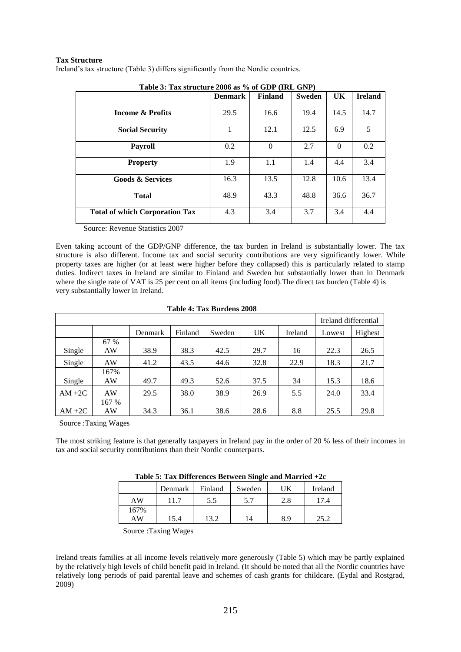### **Tax Structure**

Ireland"s tax structure (Table 3) differs significantly from the Nordic countries.

| Table 3: Tax structure 2006 as % of GDP (IRL GNP) |                |                |               |              |                |  |  |  |
|---------------------------------------------------|----------------|----------------|---------------|--------------|----------------|--|--|--|
|                                                   | <b>Denmark</b> | <b>Finland</b> | <b>Sweden</b> | UK           | <b>Ireland</b> |  |  |  |
| <b>Income &amp; Profits</b>                       | 29.5           | 16.6           | 19.4          | 14.5         | 14.7           |  |  |  |
| <b>Social Security</b>                            |                | 12.1           | 12.5          | 6.9          | 5              |  |  |  |
| <b>Payroll</b>                                    | 0.2            | $\Omega$       | 2.7           | $\mathbf{0}$ | 0.2            |  |  |  |
| <b>Property</b>                                   | 1.9            | 1.1            | 1.4           | 4.4          | 3.4            |  |  |  |
| <b>Goods &amp; Services</b>                       | 16.3           | 13.5           | 12.8          | 10.6         | 13.4           |  |  |  |
| <b>Total</b>                                      | 48.9           | 43.3           | 48.8          | 36.6         | 36.7           |  |  |  |
| <b>Total of which Corporation Tax</b>             | 4.3            | 3.4            | 3.7           | 3.4          | 4.4            |  |  |  |

**Table 3: Tax structure 2006 as % of GDP (IRL GNP)**

Source: Revenue Statistics 2007

Even taking account of the GDP/GNP difference, the tax burden in Ireland is substantially lower. The tax structure is also different. Income tax and social security contributions are very significantly lower. While property taxes are higher (or at least were higher before they collapsed) this is particularly related to stamp duties. Indirect taxes in Ireland are similar to Finland and Sweden but substantially lower than in Denmark where the single rate of VAT is 25 per cent on all items (including food). The direct tax burden (Table 4) is very substantially lower in Ireland.

| Table 4: Tax Burdens 2008 |
|---------------------------|
|                           |

|           |       |         |         |        |      |         | Ireland differential |         |
|-----------|-------|---------|---------|--------|------|---------|----------------------|---------|
|           |       | Denmark | Finland | Sweden | UK   | Ireland | Lowest               | Highest |
|           | 67 %  |         |         |        |      |         |                      |         |
| Single    | AW    | 38.9    | 38.3    | 42.5   | 29.7 | 16      | 22.3                 | 26.5    |
| Single    | AW    | 41.2    | 43.5    | 44.6   | 32.8 | 22.9    | 18.3                 | 21.7    |
|           | 167%  |         |         |        |      |         |                      |         |
| Single    | AW    | 49.7    | 49.3    | 52.6   | 37.5 | 34      | 15.3                 | 18.6    |
| $AM + 2C$ | AW    | 29.5    | 38.0    | 38.9   | 26.9 | 5.5     | 24.0                 | 33.4    |
|           | 167 % |         |         |        |      |         |                      |         |
| $AM + 2C$ | AW    | 34.3    | 36.1    | 38.6   | 28.6 | 8.8     | 25.5                 | 29.8    |

Source :Taxing Wages

The most striking feature is that generally taxpayers in Ireland pay in the order of 20 % less of their incomes in tax and social security contributions than their Nordic counterparts.

| Table 5: Tax Differences Between Single and Married +2c |  |
|---------------------------------------------------------|--|
|---------------------------------------------------------|--|

|      | Denmark | Finland | Sweden | UK  | Ireland |
|------|---------|---------|--------|-----|---------|
| AW   | 11.7    | 5.5     | 5.7    | 2.8 | 17.4    |
| 167% |         |         |        |     |         |
| AW   | 15.4    | 13.2    | 14     | 8.9 | 25.2    |

Source :Taxing Wages

Ireland treats families at all income levels relatively more generously (Table 5) which may be partly explained by the relatively high levels of child benefit paid in Ireland. (It should be noted that all the Nordic countries have relatively long periods of paid parental leave and schemes of cash grants for childcare. (Eydal and Rostgrad, 2009)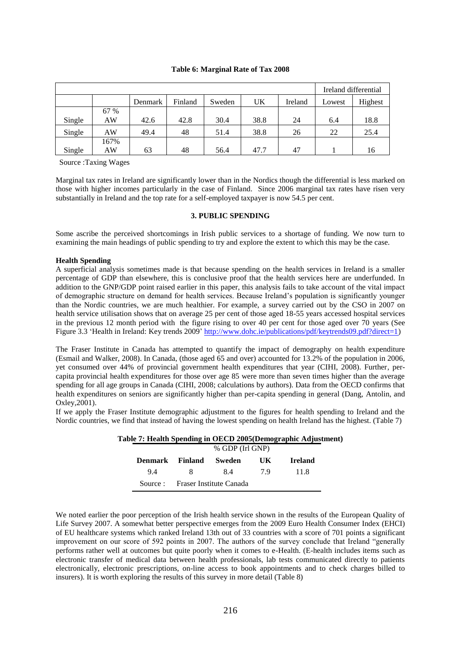#### **Table 6: Marginal Rate of Tax 2008**

|        |      |         |         |        |      |         |        | Ireland differential |
|--------|------|---------|---------|--------|------|---------|--------|----------------------|
|        |      | Denmark | Finland | Sweden | UK   | Ireland | Lowest | Highest              |
|        | 67 % |         |         |        |      |         |        |                      |
| Single | AW   | 42.6    | 42.8    | 30.4   | 38.8 | 24      | 6.4    | 18.8                 |
| Single | AW   | 49.4    | 48      | 51.4   | 38.8 | 26      | 22     | 25.4                 |
|        | 167% |         |         |        |      |         |        |                      |
| Single | AW   | 63      | 48      | 56.4   | 47.7 | 47      |        | 16                   |

Source :Taxing Wages

Marginal tax rates in Ireland are significantly lower than in the Nordics though the differential is less marked on those with higher incomes particularly in the case of Finland. Since 2006 marginal tax rates have risen very substantially in Ireland and the top rate for a self-employed taxpayer is now 54.5 per cent.

### **3. PUBLIC SPENDING**

Some ascribe the perceived shortcomings in Irish public services to a shortage of funding. We now turn to examining the main headings of public spending to try and explore the extent to which this may be the case.

#### **Health Spending**

A superficial analysis sometimes made is that because spending on the health services in Ireland is a smaller percentage of GDP than elsewhere, this is conclusive proof that the health services here are underfunded. In addition to the GNP/GDP point raised earlier in this paper, this analysis fails to take account of the vital impact of demographic structure on demand for health services. Because Ireland"s population is significantly younger than the Nordic countries, we are much healthier. For example, a survey carried out by the CSO in 2007 on health service utilisation shows that on average 25 per cent of those aged 18-55 years accessed hospital services in the previous 12 month period with the figure rising to over 40 per cent for those aged over 70 years (See Figure 3.3 'Health in Ireland: Key trends 2009' [http://www.dohc.ie/publications/pdf/keytrends09.pdf?direct=1\)](http://www.dohc.ie/publications/pdf/keytrends09.pdf?direct=1)

The Fraser Institute in Canada has attempted to quantify the impact of demography on health expenditure (Esmail and Walker, 2008). In Canada, (those aged 65 and over) accounted for 13.2% of the population in 2006, yet consumed over 44% of provincial government health expenditures that year (CIHI, 2008). Further, percapita provincial health expenditures for those over age 85 were more than seven times higher than the average spending for all age groups in Canada (CIHI, 2008; calculations by authors). Data from the OECD confirms that health expenditures on seniors are significantly higher than per-capita spending in general (Dang, Antolin, and Oxley,2001).

If we apply the Fraser Institute demographic adjustment to the figures for health spending to Ireland and the Nordic countries, we find that instead of having the lowest spending on health Ireland has the highest. (Table 7)

| Table 7: Health Spending in OECD 2005(Demographic Adjustment) |         |                 |                                  |    |                |  |  |  |
|---------------------------------------------------------------|---------|-----------------|----------------------------------|----|----------------|--|--|--|
|                                                               |         | % GDP (Irl GNP) |                                  |    |                |  |  |  |
|                                                               | Denmark | <b>Finland</b>  | Sweden                           | UK | <b>Ireland</b> |  |  |  |
|                                                               | 9.4     | <b>8</b>        | 84                               | 79 | -11.8          |  |  |  |
|                                                               |         |                 | Source : Fraser Institute Canada |    |                |  |  |  |

We noted earlier the poor perception of the Irish health service shown in the results of the European Quality of Life Survey 2007. A somewhat better perspective emerges from the 2009 Euro Health Consumer Index (EHCI) of EU healthcare systems which ranked Ireland 13th out of 33 countries with a score of 701 points a significant improvement on our score of 592 points in 2007. The authors of the survey conclude that Ireland "generally performs rather well at outcomes but quite poorly when it comes to e-Health. (E-health includes items such as electronic transfer of medical data between health professionals, lab tests communicated directly to patients electronically, electronic prescriptions, on-line access to book appointments and to check charges billed to insurers). It is worth exploring the results of this survey in more detail (Table 8)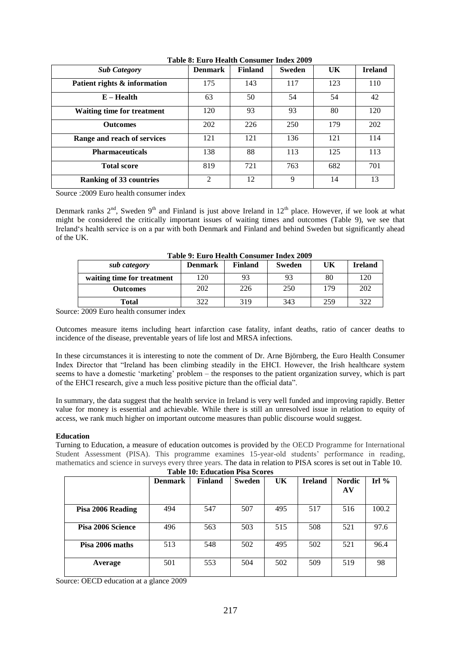| <b>Sub Category</b>               | <b>Denmark</b> | <b>Finland</b> | <b>Sweden</b> | UK  | <b>Ireland</b> |
|-----------------------------------|----------------|----------------|---------------|-----|----------------|
| Patient rights & information      | 175            | 143            | 117           | 123 | 110            |
| $E - Health$                      | 63             | 50             | 54            | 54  | 42             |
| <b>Waiting time for treatment</b> | 120            | 93             | 93            | 80  | 120            |
| <b>Outcomes</b>                   | 202            | 226            | 250           | 179 | 202            |
| Range and reach of services       | 121            | 121            | 136           | 121 | 114            |
| <b>Pharmaceuticals</b>            | 138            | 88             | 113           | 125 | 113            |
| <b>Total score</b>                | 819            | 721            | 763           | 682 | 701            |
| <b>Ranking of 33 countries</b>    | $\overline{2}$ | 12             | 9             | 14  | 13             |

**Table 8: Euro Health Consumer Index 2009**

Source :2009 Euro health consumer index

Denmark ranks  $2<sup>nd</sup>$ , Sweden 9<sup>th</sup> and Finland is just above Ireland in 12<sup>th</sup> place. However, if we look at what might be considered the critically important issues of waiting times and outcomes (Table 9), we see that Ireland"s health service is on a par with both Denmark and Finland and behind Sweden but significantly ahead of the UK.

| Table 9: Euro Health Consumer muex 2009 |                |         |               |     |                |  |  |  |
|-----------------------------------------|----------------|---------|---------------|-----|----------------|--|--|--|
| sub category                            | <b>Denmark</b> | Finland | <b>Sweden</b> | UK  | <b>Ireland</b> |  |  |  |
| waiting time for treatment              | 120            | 93      | 93            | 80  | 120            |  |  |  |
| <b>Outcomes</b>                         | 202            | 226     | 250           | 179 | 202            |  |  |  |
| Total                                   | 322            | 319     | 343           | 259 | 322            |  |  |  |

**Table 9: Euro Health Consumer Index 2009**

Source: 2009 Euro health consumer index

Outcomes measure items including heart infarction case fatality, infant deaths, ratio of cancer deaths to incidence of the disease, preventable years of life lost and MRSA infections.

In these circumstances it is interesting to note the comment of Dr. Arne Björnberg, the Euro Health Consumer Index Director that "Ireland has been climbing steadily in the EHCI. However, the Irish healthcare system seems to have a domestic 'marketing' problem – the responses to the patient organization survey, which is part of the EHCI research, give a much less positive picture than the official data".

In summary, the data suggest that the health service in Ireland is very well funded and improving rapidly. Better value for money is essential and achievable. While there is still an unresolved issue in relation to equity of access, we rank much higher on important outcome measures than public discourse would suggest.

#### **Education**

Turning to Education, a measure of education outcomes is provided by the OECD Programme for International Student Assessment (PISA). This programme examines 15-year-old students' performance in reading, mathematics and science in surveys every three years. The data in relation to PISA scores is set out in Table 10.

| <b>Table 10: Education Pisa Scores</b> |                |                |               |     |                |                     |         |
|----------------------------------------|----------------|----------------|---------------|-----|----------------|---------------------|---------|
|                                        | <b>Denmark</b> | <b>Finland</b> | <b>Sweden</b> | UK  | <b>Ireland</b> | <b>Nordic</b><br>AV | Irl $%$ |
| Pisa 2006 Reading                      | 494            | 547            | 507           | 495 | 517            | 516                 | 100.2   |
| Pisa 2006 Science                      | 496            | 563            | 503           | 515 | 508            | 521                 | 97.6    |
| Pisa 2006 maths                        | 513            | 548            | 502           | 495 | 502            | 521                 | 96.4    |
| Average                                | 501            | 553            | 504           | 502 | 509            | 519                 | 98      |

Source: OECD education at a glance 2009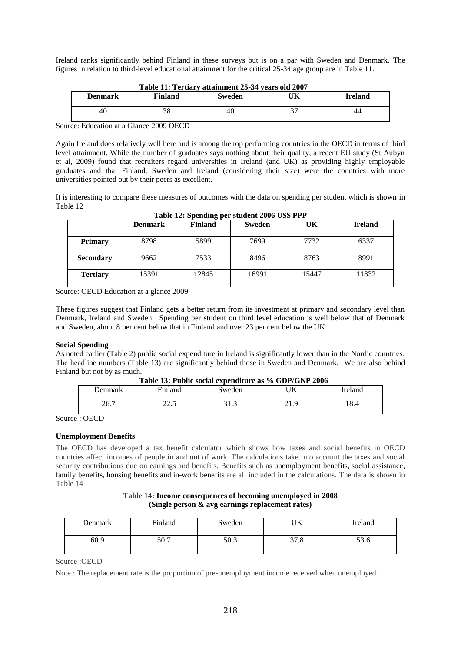Ireland ranks significantly behind Finland in these surveys but is on a par with Sweden and Denmark. The figures in relation to third-level educational attainment for the critical 25-34 age group are in Table 11.

| <b>Denmark</b> | Finland | Sweden | UK | <b>Ireland</b> |
|----------------|---------|--------|----|----------------|
| 40             | 38      | 46     |    | 44             |

| Table 11: Tertiary attainment 25-34 years old 2007 |
|----------------------------------------------------|
|----------------------------------------------------|

Source: Education at a Glance 2009 OECD

Again Ireland does relatively well here and is among the top performing countries in the OECD in terms of third level attainment. While the number of graduates says nothing about their quality, a recent EU study (St Aubyn et al, 2009) found that recruiters regard universities in Ireland (and UK) as providing highly employable graduates and that Finland, Sweden and Ireland (considering their size) were the countries with more universities pointed out by their peers as excellent.

It is interesting to compare these measures of outcomes with the data on spending per student which is shown in Table 12

| Table 12: Spending per student 2006 US\$ PPP |  |  |
|----------------------------------------------|--|--|
|                                              |  |  |

|                  | <b>Denmark</b> | <b>Finland</b> | <b>Sweden</b> | UK    | <b>Ireland</b> |
|------------------|----------------|----------------|---------------|-------|----------------|
| <b>Primary</b>   | 8798           | 5899           | 7699          | 7732  | 6337           |
| <b>Secondary</b> | 9662           | 7533           | 8496          | 8763  | 8991           |
| <b>Tertiary</b>  | 15391          | 12845          | 16991         | 15447 | 11832          |

Source: OECD Education at a glance 2009

These figures suggest that Finland gets a better return from its investment at primary and secondary level than Denmark, Ireland and Sweden. Spending per student on third level education is well below that of Denmark and Sweden, about 8 per cent below that in Finland and over 23 per cent below the UK.

### **Social Spending**

As noted earlier (Table 2) public social expenditure in Ireland is significantly lower than in the Nordic countries. The headline numbers (Table 13) are significantly behind those in Sweden and Denmark. We are also behind Finland but not by as much.

| Jenmark                    | Finland                   | Sweden                 | I TIZ<br>UN                             | Ireland     |
|----------------------------|---------------------------|------------------------|-----------------------------------------|-------------|
| ገሬ ገ<br>$\angle U \cdot I$ | $\cap$ $\cap$<br>ل و ساعت | $\sim$<br>⌒ 1<br>ر. در | $^{\circ}$ 1<br>$\Omega$<br><u> 41.</u> | 1 ດ<br>10.4 |

**Table 13: Public social expenditure as % GDP/GNP 2006**

Source : OECD

### **Unemployment Benefits**

The OECD has developed a tax benefit calculator which shows how taxes and social benefits in OECD countries affect incomes of people in and out of work. The calculations take into account the taxes and social security contributions due on earnings and benefits. Benefits such as [unemployment benefits,](http://www.oecd.org/dataoecd/38/16/44508994.xls) [social assistance,](http://www.oecd.org/dataoecd/51/18/44495120.xls) [family benefits,](http://www.oecd.org/dataoecd/30/43/42662121.xls) [housing benefits](http://www.oecd.org/dataoecd/50/59/44495067.xls) and [in-work benefits](http://www.oecd.org/dataoecd/30/61/42662323.xls) are all included in the calculations. The data is shown in Table 14

### **Table 14: Income consequences of becoming unemployed in 2008 (Single person & avg earnings replacement rates)**

| Denmark | Finland | Sweden | UK             | Ireland            |
|---------|---------|--------|----------------|--------------------|
| 60.9    | 50.7    | 50.3   | $\sim$<br>31.8 | - م<br><b>55.0</b> |

Source :OECD

Note : The replacement rate is the proportion of pre-unemployment income received when unemployed.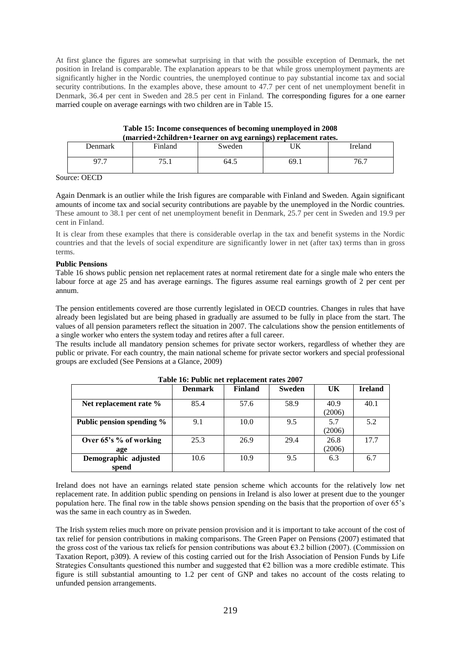At first glance the figures are somewhat surprising in that with the possible exception of Denmark, the net position in Ireland is comparable. The explanation appears to be that while gross unemployment payments are significantly higher in the Nordic countries, the unemployed continue to pay substantial income tax and social security contributions. In the examples above, these amount to 47.7 per cent of net unemployment benefit in Denmark, 36.4 per cent in Sweden and 28.5 per cent in Finland. The corresponding figures for a one earner married couple on average earnings with two children are in Table 15.

| (married+2children+1earner on avg earnings) replacement rates. |         |        |      |         |  |  |  |
|----------------------------------------------------------------|---------|--------|------|---------|--|--|--|
| <b>Denmark</b>                                                 | Finland | Sweden |      | Ireland |  |  |  |
|                                                                | 75.     | 64.5   | 69.1 | 76.7    |  |  |  |

**Table 15: Income consequences of becoming unemployed in 2008**

Source: OECD

Again Denmark is an outlier while the Irish figures are comparable with Finland and Sweden. Again significant amounts of income tax and social security contributions are payable by the unemployed in the Nordic countries. These amount to 38.1 per cent of net unemployment benefit in Denmark, 25.7 per cent in Sweden and 19.9 per cent in Finland.

It is clear from these examples that there is considerable overlap in the tax and benefit systems in the Nordic countries and that the levels of social expenditure are significantly lower in net (after tax) terms than in gross terms.

### **Public Pensions**

Table 16 shows public pension net replacement rates at normal retirement date for a single male who enters the labour force at age 25 and has average earnings. The figures assume real earnings growth of 2 per cent per annum.

The pension entitlements covered are those currently legislated in OECD countries. Changes in rules that have already been legislated but are being phased in gradually are assumed to be fully in place from the start. The values of all pension parameters reflect the situation in 2007. The calculations show the pension entitlements of a single worker who enters the system today and retires after a full career.

The results include all mandatory pension schemes for private sector workers, regardless of whether they are public or private. For each country, the main national scheme for private sector workers and special professional groups are excluded (See Pensions at a Glance, 2009)

|                               | <b>Denmark</b> | <b>Finland</b> | <b>Sweden</b> | UK             | <b>Ireland</b> |
|-------------------------------|----------------|----------------|---------------|----------------|----------------|
| Net replacement rate %        | 85.4           | 57.6           | 58.9          | 40.9<br>(2006) | 40.1           |
| Public pension spending %     | 9.1            | 10.0           | 9.5           | 5.7<br>(2006)  | 5.2            |
| Over 65's % of working<br>age | 25.3           | 26.9           | 29.4          | 26.8<br>(2006) | 177            |
| Demographic adjusted<br>spend | 10.6           | 10.9           | 9.5           | 6.3            | 6.7            |

**Table 16: Public net replacement rates 2007**

Ireland does not have an earnings related state pension scheme which accounts for the relatively low net replacement rate. In addition public spending on pensions in Ireland is also lower at present due to the younger population here. The final row in the table shows pension spending on the basis that the proportion of over 65"s was the same in each country as in Sweden.

The Irish system relies much more on private pension provision and it is important to take account of the cost of tax relief for pension contributions in making comparisons. The Green Paper on Pensions (2007) estimated that the gross cost of the various tax reliefs for pension contributions was about  $\epsilon$ 3.2 billion (2007). (Commission on Taxation Report, p309). A review of this costing carried out for the Irish Association of Pension Funds by Life Strategies Consultants questioned this number and suggested that €2 billion was a more credible estimate. This figure is still substantial amounting to 1.2 per cent of GNP and takes no account of the costs relating to unfunded pension arrangements.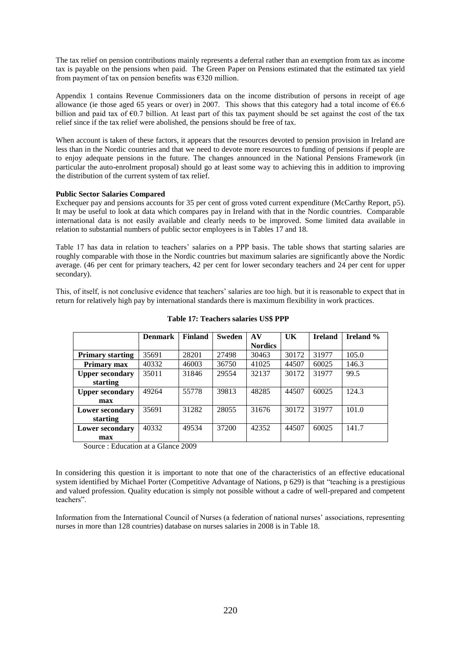The tax relief on pension contributions mainly represents a deferral rather than an exemption from tax as income tax is payable on the pensions when paid. The Green Paper on Pensions estimated that the estimated tax yield from payment of tax on pension benefits was  $\epsilon$ 320 million.

Appendix 1 contains Revenue Commissioners data on the income distribution of persons in receipt of age allowance (ie those aged 65 years or over) in 2007. This shows that this category had a total income of  $66.6$ billion and paid tax of  $\epsilon$ 0.7 billion. At least part of this tax payment should be set against the cost of the tax relief since if the tax relief were abolished, the pensions should be free of tax.

When account is taken of these factors, it appears that the resources devoted to pension provision in Ireland are less than in the Nordic countries and that we need to devote more resources to funding of pensions if people are to enjoy adequate pensions in the future. The changes announced in the National Pensions Framework (in particular the auto-enrolment proposal) should go at least some way to achieving this in addition to improving the distribution of the current system of tax relief.

### **Public Sector Salaries Compared**

Exchequer pay and pensions accounts for 35 per cent of gross voted current expenditure (McCarthy Report, p5). It may be useful to look at data which compares pay in Ireland with that in the Nordic countries. Comparable international data is not easily available and clearly needs to be improved. Some limited data available in relation to substantial numbers of public sector employees is in Tables 17 and 18.

Table 17 has data in relation to teachers" salaries on a PPP basis. The table shows that starting salaries are roughly comparable with those in the Nordic countries but maximum salaries are significantly above the Nordic average. (46 per cent for primary teachers, 42 per cent for lower secondary teachers and 24 per cent for upper secondary).

This, of itself, is not conclusive evidence that teachers" salaries are too high. but it is reasonable to expect that in return for relatively high pay by international standards there is maximum flexibility in work practices.

|                         | <b>Denmark</b> | <b>Finland</b> | <b>Sweden</b> | AV             | UK    | <b>Ireland</b> | <b>Ireland</b> % |
|-------------------------|----------------|----------------|---------------|----------------|-------|----------------|------------------|
|                         |                |                |               | <b>Nordics</b> |       |                |                  |
| <b>Primary starting</b> | 35691          | 28201          | 27498         | 30463          | 30172 | 31977          | 105.0            |
| Primary max             | 40332          | 46003          | 36750         | 41025          | 44507 | 60025          | 146.3            |
| <b>Upper secondary</b>  | 35011          | 31846          | 29554         | 32137          | 30172 | 31977          | 99.5             |
| starting                |                |                |               |                |       |                |                  |
| <b>Upper secondary</b>  | 49264          | 55778          | 39813         | 48285          | 44507 | 60025          | 124.3            |
| max                     |                |                |               |                |       |                |                  |
| <b>Lower secondary</b>  | 35691          | 31282          | 28055         | 31676          | 30172 | 31977          | 101.0            |
| starting                |                |                |               |                |       |                |                  |
| <b>Lower secondary</b>  | 40332          | 49534          | 37200         | 42352          | 44507 | 60025          | 141.7            |
| max                     |                |                |               |                |       |                |                  |

#### **Table 17: Teachers salaries US\$ PPP**

Source : Education at a Glance 2009

In considering this question it is important to note that one of the characteristics of an effective educational system identified by Michael Porter (Competitive Advantage of Nations, p 629) is that "teaching is a prestigious and valued profession. Quality education is simply not possible without a cadre of well-prepared and competent teachers".

Information from the International Council of Nurses (a federation of national nurses' associations, representing nurses in more than 128 countries) database on nurses salaries in 2008 is in Table 18.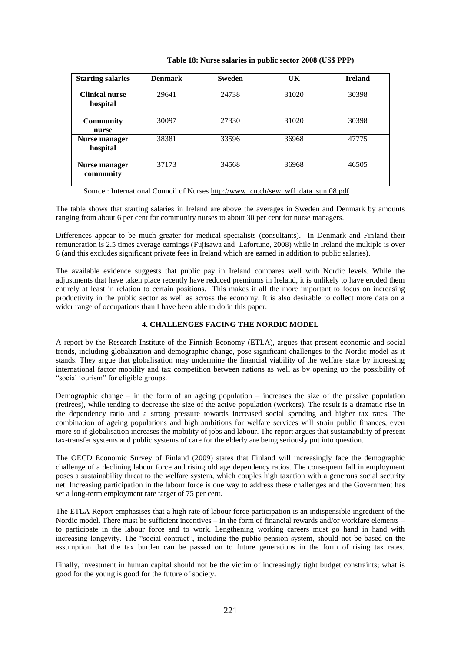| <b>Starting salaries</b>          | <b>Denmark</b> | <b>Sweden</b> | UK    | <b>Ireland</b> |
|-----------------------------------|----------------|---------------|-------|----------------|
| <b>Clinical nurse</b><br>hospital | 29641          | 24738         | 31020 | 30398          |
| <b>Community</b><br>nurse         | 30097          | 27330         | 31020 | 30398          |
| Nurse manager<br>hospital         | 38381          | 33596         | 36968 | 47775          |
| Nurse manager<br>community        | 37173          | 34568         | 36968 | 46505          |

#### **Table 18: Nurse salaries in public sector 2008 (US\$ PPP)**

Source : International Council of Nurses [http://www.icn.ch/sew\\_wff\\_data\\_sum08.pdf](http://www.icn.ch/sew_wff_data_sum08.pdf)

The table shows that starting salaries in Ireland are above the averages in Sweden and Denmark by amounts ranging from about 6 per cent for community nurses to about 30 per cent for nurse managers.

Differences appear to be much greater for medical specialists (consultants). In Denmark and Finland their remuneration is 2.5 times average earnings (Fujisawa and Lafortune, 2008) while in Ireland the multiple is over 6 (and this excludes significant private fees in Ireland which are earned in addition to public salaries).

The available evidence suggests that public pay in Ireland compares well with Nordic levels. While the adjustments that have taken place recently have reduced premiums in Ireland, it is unlikely to have eroded them entirely at least in relation to certain positions. This makes it all the more important to focus on increasing productivity in the public sector as well as across the economy. It is also desirable to collect more data on a wider range of occupations than I have been able to do in this paper.

### **4. CHALLENGES FACING THE NORDIC MODEL**

A report by the Research Institute of the Finnish Economy (ETLA), argues that present economic and social trends, including globalization and demographic change, pose significant challenges to the Nordic model as it stands. They argue that globalisation may undermine the financial viability of the welfare state by increasing international factor mobility and tax competition between nations as well as by opening up the possibility of "social tourism" for eligible groups.

Demographic change – in the form of an ageing population – increases the size of the passive population (retirees), while tending to decrease the size of the active population (workers). The result is a dramatic rise in the dependency ratio and a strong pressure towards increased social spending and higher tax rates. The combination of ageing populations and high ambitions for welfare services will strain public finances, even more so if globalisation increases the mobility of jobs and labour. The report argues that sustainability of present tax-transfer systems and public systems of care for the elderly are being seriously put into question.

The OECD Economic Survey of Finland (2009) states that Finland will increasingly face the demographic challenge of a declining labour force and rising old age dependency ratios. The consequent fall in employment poses a sustainability threat to the welfare system, which couples high taxation with a generous social security net. Increasing participation in the labour force is one way to address these challenges and the Government has set a long-term employment rate target of 75 per cent.

The ETLA Report emphasises that a high rate of labour force participation is an indispensible ingredient of the Nordic model. There must be sufficient incentives – in the form of financial rewards and/or workfare elements – to participate in the labour force and to work. Lengthening working careers must go hand in hand with increasing longevity. The "social contract", including the public pension system, should not be based on the assumption that the tax burden can be passed on to future generations in the form of rising tax rates.

Finally, investment in human capital should not be the victim of increasingly tight budget constraints; what is good for the young is good for the future of society.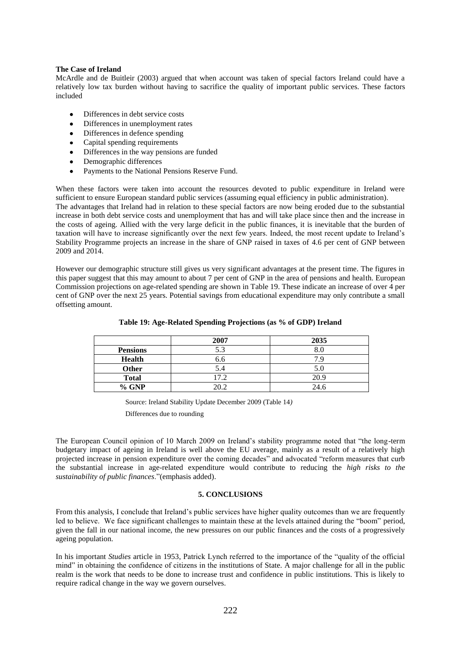#### **The Case of Ireland**

McArdle and de Buitleir (2003) argued that when account was taken of special factors Ireland could have a relatively low tax burden without having to sacrifice the quality of important public services. These factors included

- Differences in debt service costs
- Differences in unemployment rates
- Differences in defence spending  $\bullet$
- $\bullet$ Capital spending requirements
- $\bullet$ Differences in the way pensions are funded
- $\bullet$ Demographic differences
- Payments to the National Pensions Reserve Fund.  $\bullet$

When these factors were taken into account the resources devoted to public expenditure in Ireland were sufficient to ensure European standard public services (assuming equal efficiency in public administration).

The advantages that Ireland had in relation to these special factors are now being eroded due to the substantial increase in both debt service costs and unemployment that has and will take place since then and the increase in the costs of ageing. Allied with the very large deficit in the public finances, it is inevitable that the burden of taxation will have to increase significantly over the next few years. Indeed, the most recent update to Ireland"s Stability Programme projects an increase in the share of GNP raised in taxes of 4.6 per cent of GNP between 2009 and 2014.

However our demographic structure still gives us very significant advantages at the present time. The figures in this paper suggest that this may amount to about 7 per cent of GNP in the area of pensions and health. European Commission projections on age-related spending are shown in Table 19. These indicate an increase of over 4 per cent of GNP over the next 25 years. Potential savings from educational expenditure may only contribute a small offsetting amount.

|                 | 2007 | 2035 |
|-----------------|------|------|
| <b>Pensions</b> | 5.3  |      |
| <b>Health</b>   | 6.6  |      |
| <b>Other</b>    | 5.4  | 5.0  |
| <b>Total</b>    | 17.2 | 20.9 |
| % GNP           | ንበ ን | 24.6 |

**Table 19: Age-Related Spending Projections (as % of GDP) Ireland**

Source: Ireland Stability Update December 2009 (Table 14*)*

Differences due to rounding

The European Council opinion of 10 March 2009 on Ireland"s stability programme noted that "the long-term budgetary impact of ageing in Ireland is well above the EU average, mainly as a result of a relatively high projected increase in pension expenditure over the coming decades" and advocated "reform measures that curb the substantial increase in age-related expenditure would contribute to reducing the *high risks to the sustainability of public finances*."(emphasis added).

#### **5. CONCLUSIONS**

From this analysis, I conclude that Ireland"s public services have higher quality outcomes than we are frequently led to believe. We face significant challenges to maintain these at the levels attained during the "boom" period, given the fall in our national income, the new pressures on our public finances and the costs of a progressively ageing population.

In his important *Studies* article in 1953, Patrick Lynch referred to the importance of the "quality of the official mind" in obtaining the confidence of citizens in the institutions of State. A major challenge for all in the public realm is the work that needs to be done to increase trust and confidence in public institutions. This is likely to require radical change in the way we govern ourselves.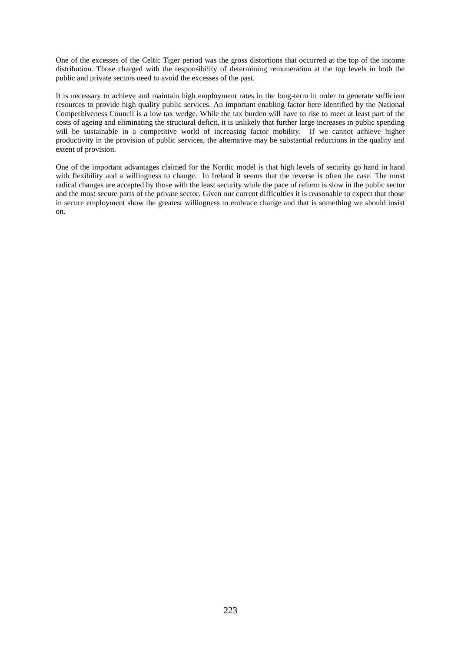One of the excesses of the Celtic Tiger period was the gross distortions that occurred at the top of the income distribution. Those charged with the responsibility of determining remuneration at the top levels in both the public and private sectors need to avoid the excesses of the past.

It is necessary to achieve and maintain high employment rates in the long-term in order to generate sufficient resources to provide high quality public services. An important enabling factor here identified by the National Competitiveness Council is a low tax wedge. While the tax burden will have to rise to meet at least part of the costs of ageing and eliminating the structural deficit, it is unlikely that further large increases in public spending will be sustainable in a competitive world of increasing factor mobility. If we cannot achieve higher productivity in the provision of public services, the alternative may be substantial reductions in the quality and extent of provision.

One of the important advantages claimed for the Nordic model is that high levels of security go hand in hand with flexibility and a willingness to change. In Ireland it seems that the reverse is often the case. The most radical changes are accepted by those with the least security while the pace of reform is slow in the public sector and the most secure parts of the private sector. Given our current difficulties it is reasonable to expect that those in secure employment show the greatest willingness to embrace change and that is something we should insist on.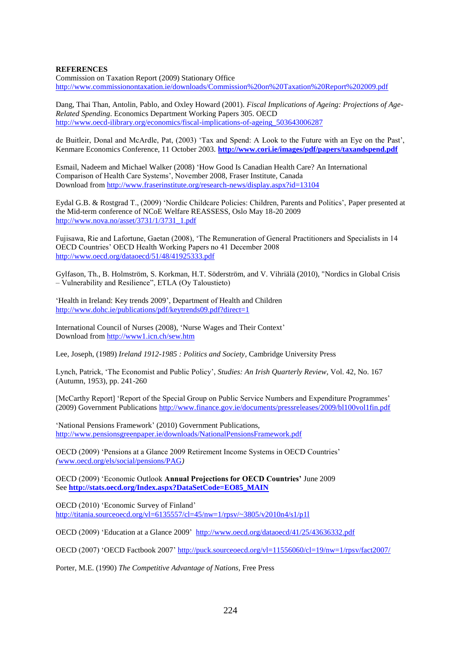### **REFERENCES**

Commission on Taxation Report (2009) Stationary Office <http://www.commissionontaxation.ie/downloads/Commission%20on%20Taxation%20Report%202009.pdf>

Dang, Thai Than, Antolin, Pablo, and Oxley Howard (2001). *Fiscal Implications of Ageing: Projections of Age-Related Spending*. Economics Department Working Papers 305. OECD [http://www.oecd-ilibrary.org/economics/fiscal-implications-of-ageing\\_503643006287](http://www.oecd-ilibrary.org/economics/fiscal-implications-of-ageing_503643006287)

de Buitleir, Donal and McArdle, Pat, (2003) "Tax and Spend: A Look to the Future with an Eye on the Past", Kenmare Economics Conference, 11 October 2003. **<http://www.cori.ie/images/pdf/papers/taxandspend.pdf>**

Esmail, Nadeem and Michael Walker (2008) "How Good Is Canadian Health Care? An International Comparison of Health Care Systems", November 2008, Fraser Institute, Canada Download from<http://www.fraserinstitute.org/research-news/display.aspx?id=13104>

Eydal G.B. & Rostgrad T., (2009) "Nordic Childcare Policies: Children, Parents and Politics", Paper presented at the Mid-term conference of NCoE Welfare REASSESS, Oslo May 18-20 2009 [http://www.nova.no/asset/3731/1/3731\\_1.pdf](http://www.nova.no/asset/3731/1/3731_1.pdf)

Fujisawa, Rie and Lafortune, Gaetan (2008), "The Remuneration of General Practitioners and Specialists in 14 OECD Countries" OECD Health Working Papers no 41 December 2008 <http://www.oecd.org/dataoecd/51/48/41925333.pdf>

Gylfason, Th., B. Holmström, S. Korkman, H.T. Söderström, and V. Vihriälä (2010), "Nordics in Global Crisis – Vulnerability and Resilience", ETLA (Oy Taloustieto)

'Health in Ireland: Key trends 2009', Department of Health and Children <http://www.dohc.ie/publications/pdf/keytrends09.pdf?direct=1>

International Council of Nurses (2008), "Nurse Wages and Their Context" Download from<http://www1.icn.ch/sew.htm>

Lee, Joseph, (1989) *Ireland 1912-1985 : Politics and Society*, Cambridge University Press

Lynch, Patrick, "The Economist and Public Policy", *Studies: An Irish Quarterly Review*, Vol. 42, No. 167 (Autumn, 1953), pp. 241-260

[McCarthy Report] 'Report of the Special Group on Public Service Numbers and Expenditure Programmes' (2009) Government Publications<http://www.finance.gov.ie/documents/pressreleases/2009/bl100vol1fin.pdf>

'National Pensions Framework' (2010) Government Publications, <http://www.pensionsgreenpaper.ie/downloads/NationalPensionsFramework.pdf>

OECD (2009) "Pensions at a Glance 2009 Retirement Income Systems in OECD Countries" *(*[www.oecd.org/els/social/pensions/PAG](http://www.oecd.org/els/social/pensions/PAG)*)*

OECD (2009) "Economic Outlook **Annual Projections for OECD Countries'** June 2009 See **[http://stats.oecd.org/Index.aspx?DataSetCode=EO85\\_MAIN](http://stats.oecd.org/Index.aspx?DataSetCode=EO85_MAIN)**

OECD (2010) "Economic Survey of Finland" <http://titania.sourceoecd.org/vl=6135557/cl=45/nw=1/rpsv/~3805/v2010n4/s1/p1l>

OECD (2009) "Education at a Glance 2009" <http://www.oecd.org/dataoecd/41/25/43636332.pdf>

OECD (2007) "OECD Factbook 2007" <http://puck.sourceoecd.org/vl=11556060/cl=19/nw=1/rpsv/fact2007/>

Porter, M.E. (1990) *The Competitive Advantage of Nations,* Free Press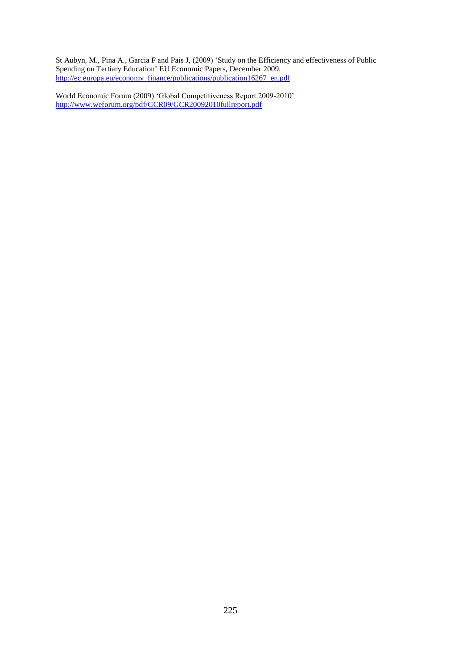St Aubyn, M., Pina A., Garcia F and Pais J, (2009) "Study on the Efficiency and effectiveness of Public Spending on Tertiary Education" EU Economic Papers, December 2009. [http://ec.europa.eu/economy\\_finance/publications/publication16267\\_en.pdf](http://ec.europa.eu/economy_finance/publications/publication16267_en.pdf)

World Economic Forum (2009) "Global Competitiveness Report 2009-2010" <http://www.weforum.org/pdf/GCR09/GCR20092010fullreport.pdf>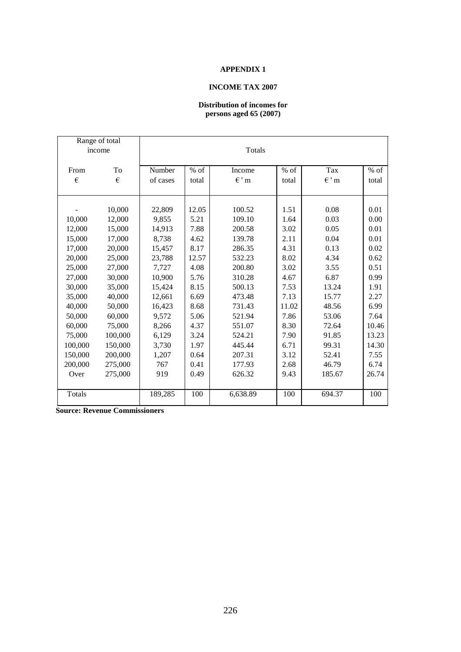# **APPENDIX 1**

# **INCOME TAX 2007**

# **Distribution of incomes for persons aged 65 (2007)**

| Range of total |         |          |        |           |        |          |        |
|----------------|---------|----------|--------|-----------|--------|----------|--------|
| income         |         | Totals   |        |           |        |          |        |
|                |         |          |        |           |        |          |        |
| From           | To      | Number   | $%$ of | Income    | $%$ of | Tax      | $%$ of |
| €              | €       | of cases | total  | $\in$ ' m | total  | $\in$ 'm | total  |
|                |         |          |        |           |        |          |        |
|                |         |          |        |           |        |          |        |
|                | 10,000  | 22,809   | 12.05  | 100.52    | 1.51   | 0.08     | 0.01   |
| 10,000         | 12,000  | 9,855    | 5.21   | 109.10    | 1.64   | 0.03     | 0.00   |
| 12,000         | 15,000  | 14,913   | 7.88   | 200.58    | 3.02   | 0.05     | 0.01   |
| 15,000         | 17,000  | 8,738    | 4.62   | 139.78    | 2.11   | 0.04     | 0.01   |
| 17,000         | 20,000  | 15,457   | 8.17   | 286.35    | 4.31   | 0.13     | 0.02   |
| 20,000         | 25,000  | 23,788   | 12.57  | 532.23    | 8.02   | 4.34     | 0.62   |
| 25,000         | 27,000  | 7,727    | 4.08   | 200.80    | 3.02   | 3.55     | 0.51   |
| 27,000         | 30,000  | 10,900   | 5.76   | 310.28    | 4.67   | 6.87     | 0.99   |
| 30,000         | 35,000  | 15,424   | 8.15   | 500.13    | 7.53   | 13.24    | 1.91   |
| 35,000         | 40,000  | 12,661   | 6.69   | 473.48    | 7.13   | 15.77    | 2.27   |
| 40,000         | 50,000  | 16,423   | 8.68   | 731.43    | 11.02  | 48.56    | 6.99   |
| 50,000         | 60,000  | 9,572    | 5.06   | 521.94    | 7.86   | 53.06    | 7.64   |
| 60,000         | 75,000  | 8,266    | 4.37   | 551.07    | 8.30   | 72.64    | 10.46  |
| 75,000         | 100,000 | 6,129    | 3.24   | 524.21    | 7.90   | 91.85    | 13.23  |
| 100,000        | 150,000 | 3,730    | 1.97   | 445.44    | 6.71   | 99.31    | 14.30  |
| 150,000        | 200,000 | 1,207    | 0.64   | 207.31    | 3.12   | 52.41    | 7.55   |
| 200,000        | 275,000 | 767      | 0.41   | 177.93    | 2.68   | 46.79    | 6.74   |
| Over           | 275,000 | 919      | 0.49   | 626.32    | 9.43   | 185.67   | 26.74  |
|                |         |          |        |           |        |          |        |
| Totals         |         | 189,285  | 100    | 6,638.89  | 100    | 694.37   | 100    |

**Source: Revenue Commissioners**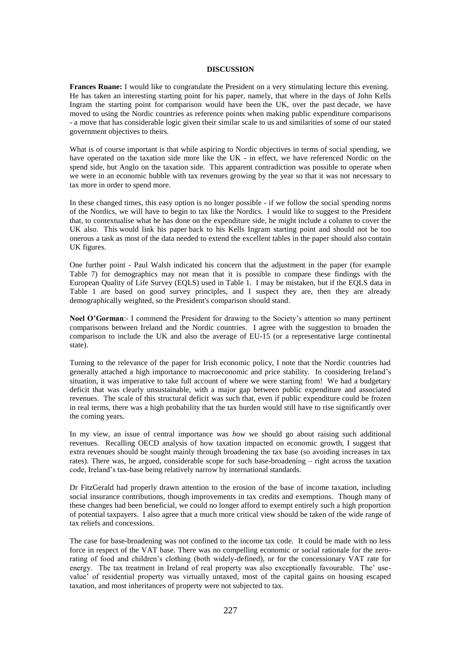#### **DISCUSSION**

**Frances Ruane:** I would like to congratulate the President on a very stimulating lecture this evening. He has taken an interesting starting point for his paper, namely, that where in the days of John Kells Ingram the starting point for comparison would have been the UK, over the past decade, we have moved to using the Nordic countries as reference points when making public expenditure comparisons - a move that has considerable logic given their similar scale to us and similarities of some of our stated government objectives to theirs.

What is of course important is that while aspiring to Nordic objectives in terms of social spending, we have operated on the taxation side more like the UK - in effect, we have referenced Nordic on the spend side, but Anglo on the taxation side. This apparent contradiction was possible to operate when we were in an economic bubble with tax revenues growing by the year so that it was not necessary to tax more in order to spend more.

In these changed times, this easy option is no longer possible - if we follow the social spending norms of the Nordics, we will have to begin to tax like the Nordics. I would like to suggest to the President that, to contextualise what he has done on the expenditure side, he might include a column to cover the UK also. This would link his paper back to his Kells Ingram starting point and should not be too onerous a task as most of the data needed to extend the excellent tables in the paper should also contain UK figures.

One further point - Paul Walsh indicated his concern that the adjustment in the paper (for example Table 7) for demographics may not mean that it is possible to compare these findings with the European Quality of Life Survey (EQLS) used in Table 1. I may be mistaken, but if the EQLS data in Table 1 are based on good survey principles, and I suspect they are, then they are already demographically weighted, so the President's comparison should stand.

Noel O'Gorman:- I commend the President for drawing to the Society's attention so many pertinent comparisons between Ireland and the Nordic countries. I agree with the suggestion to broaden the comparison to include the UK and also the average of EU-15 (or a representative large continental state).

Turning to the relevance of the paper for Irish economic policy, I note that the Nordic countries had generally attached a high importance to macroeconomic and price stability. In considering Ireland"s situation, it was imperative to take full account of where we were starting from! We had a budgetary deficit that was clearly unsustainable, with a major gap between public expenditure and associated revenues. The scale of this structural deficit was such that, even if public expenditure could be frozen in real terms, there was a high probability that the tax burden would still have to rise significantly over the coming years.

In my view, an issue of central importance was *how* we should go about raising such additional revenues. Recalling OECD analysis of how taxation impacted on economic growth, I suggest that extra revenues should be sought mainly through broadening the tax base (so avoiding increases in tax rates). There was, he argued, considerable scope for such base-broadening – right across the taxation code, Ireland"s tax-base being relatively narrow by international standards.

Dr FitzGerald had properly drawn attention to the erosion of the base of income taxation, including social insurance contributions, though improvements in tax credits and exemptions. Though many of these changes had been beneficial, we could no longer afford to exempt entirely such a high proportion of potential taxpayers. I also agree that a much more critical view should be taken of the wide range of tax reliefs and concessions.

The case for base-broadening was not confined to the income tax code. It could be made with no less force in respect of the VAT base. There was no compelling economic or social rationale for the zerorating of food and children"s clothing (both widely-defined), or for the concessionary VAT rate for energy. The tax treatment in Ireland of real property was also exceptionally favourable. The' usevalue" of residential property was virtually untaxed, most of the capital gains on housing escaped taxation, and most inheritances of property were not subjected to tax.